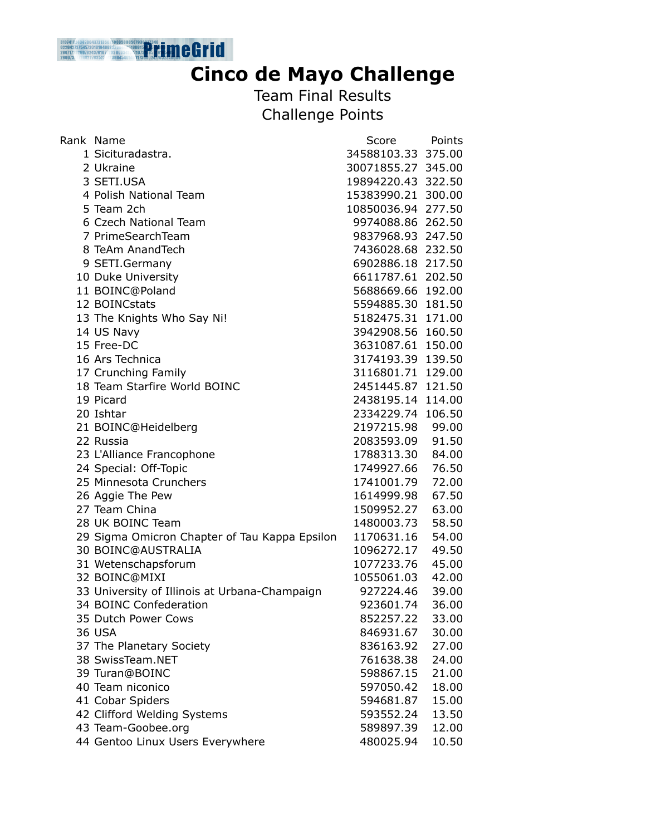

## **Cinco de Mayo Challenge**

Team Final Results Challenge Points

| Rank Name                                     | Score              | Points |
|-----------------------------------------------|--------------------|--------|
| 1 Sicituradastra.                             | 34588103.33 375.00 |        |
| 2 Ukraine                                     | 30071855.27 345.00 |        |
| 3 SETI.USA                                    | 19894220.43 322.50 |        |
| 4 Polish National Team                        | 15383990.21 300.00 |        |
| 5 Team 2ch                                    | 10850036.94 277.50 |        |
| 6 Czech National Team                         | 9974088.86 262.50  |        |
| 7 PrimeSearchTeam                             | 9837968.93 247.50  |        |
| 8 TeAm AnandTech                              | 7436028.68 232.50  |        |
| 9 SETI.Germany                                | 6902886.18 217.50  |        |
| 10 Duke University                            | 6611787.61 202.50  |        |
| 11 BOINC@Poland                               | 5688669.66 192.00  |        |
| 12 BOINCstats                                 | 5594885.30 181.50  |        |
| 13 The Knights Who Say Ni!                    | 5182475.31 171.00  |        |
| 14 US Navy                                    | 3942908.56 160.50  |        |
| 15 Free-DC                                    | 3631087.61 150.00  |        |
| 16 Ars Technica                               | 3174193.39 139.50  |        |
| 17 Crunching Family                           | 3116801.71 129.00  |        |
| 18 Team Starfire World BOINC                  | 2451445.87 121.50  |        |
| 19 Picard                                     | 2438195.14 114.00  |        |
| 20 Ishtar                                     | 2334229.74 106.50  |        |
| 21 BOINC@Heidelberg                           | 2197215.98 99.00   |        |
| 22 Russia                                     | 2083593.09         | 91.50  |
| 23 L'Alliance Francophone                     | 1788313.30         | 84.00  |
| 24 Special: Off-Topic                         | 1749927.66         | 76.50  |
| 25 Minnesota Crunchers                        | 1741001.79         | 72.00  |
| 26 Aggie The Pew                              | 1614999.98         | 67.50  |
| 27 Team China                                 | 1509952.27         | 63.00  |
| 28 UK BOINC Team                              | 1480003.73         | 58.50  |
| 29 Sigma Omicron Chapter of Tau Kappa Epsilon | 1170631.16         | 54.00  |
| 30 BOINC@AUSTRALIA                            | 1096272.17         | 49.50  |
| 31 Wetenschapsforum                           | 1077233.76         | 45.00  |
| 32 BOINC@MIXI                                 | 1055061.03         | 42.00  |
| 33 University of Illinois at Urbana-Champaign | 927224.46          | 39.00  |
| 34 BOINC Confederation                        | 923601.74          | 36.00  |
| 35 Dutch Power Cows                           | 852257.22          | 33.00  |
| <b>36 USA</b>                                 | 846931.67          | 30.00  |
| 37 The Planetary Society                      | 836163.92          | 27.00  |
| 38 SwissTeam.NET                              | 761638.38          | 24.00  |
| 39 Turan@BOINC                                | 598867.15          | 21.00  |
| 40 Team niconico                              | 597050.42          | 18.00  |
| 41 Cobar Spiders                              | 594681.87          | 15.00  |
| 42 Clifford Welding Systems                   | 593552.24          | 13.50  |
| 43 Team-Goobee.org                            | 589897.39          | 12.00  |
| 44 Gentoo Linux Users Everywhere              | 480025.94          | 10.50  |